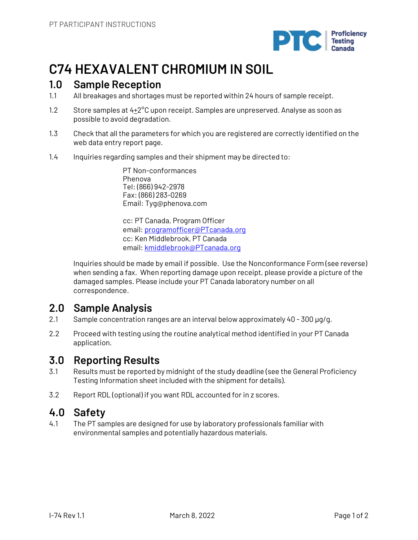

# **C74 HEXAVALENT CHROMIUM IN SOIL**

# **1.0 Sample Reception**

- 1.1 All breakages and shortages must be reported within 24 hours of sample receipt.
- 1.2 Store samples at  $4+2^{\circ}$ C upon receipt. Samples are unpreserved. Analyse as soon as possible to avoid degradation.
- 1.3 Check that all the parameters for which you are registered are correctly identified on the web data entry report page.
- 1.4 Inquiries regarding samples and their shipment may be directed to:

PT Non-conformances Phenova Tel: (866) 942-2978 Fax: (866) 283-0269 Email: Tyg@phenova.com

cc: PT Canada, Program Officer email: programofficer@PTcanada.org cc: Ken Middlebrook, PT Canada email: kmiddlebrook@PTcanada.org

Inquiries should be made by email if possible. Use the Nonconformance Form (see reverse) when sending a fax. When reporting damage upon receipt, please provide a picture of the damaged samples. Please include your PT Canada laboratory number on all correspondence.

# **2.0 Sample Analysis**

- 2.1 Sample concentration ranges are an interval below approximately 40 300 µg/g.
- 2.2 Proceed with testing using the routine analytical method identified in your PT Canada application.

# **3.0 Reporting Results**

- 3.1 Results must be reported by midnight of the study deadline (see the General Proficiency Testing Information sheet included with the shipment for details).
- 3.2 Report RDL (optional) if you want RDL accounted for in z scores.

# **4.0 Safety**

4.1 The PT samples are designed for use by laboratory professionals familiar with environmental samples and potentially hazardous materials.